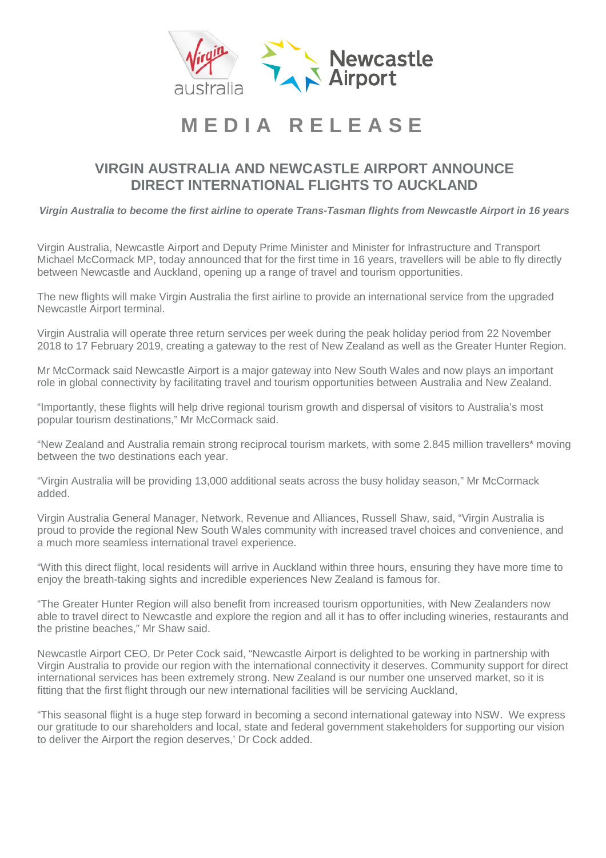

### **VIRGIN AUSTRALIA AND NEWCASTLE AIRPORT ANNOUNCE DIRECT INTERNATIONAL FLIGHTS TO AUCKLAND**

*Virgin Australia to become the first airline to operate Trans-Tasman flights from Newcastle Airport in 16 years*

Virgin Australia, Newcastle Airport and Deputy Prime Minister and Minister for Infrastructure and Transport Michael McCormack MP, today announced that for the first time in 16 years, travellers will be able to fly directly between Newcastle and Auckland, opening up a range of travel and tourism opportunities.

The new flights will make Virgin Australia the first airline to provide an international service from the upgraded Newcastle Airport terminal.

Virgin Australia will operate three return services per week during the peak holiday period from 22 November 2018 to 17 February 2019, creating a gateway to the rest of New Zealand as well as the Greater Hunter Region.

Mr McCormack said Newcastle Airport is a major gateway into New South Wales and now plays an important role in global connectivity by facilitating travel and tourism opportunities between Australia and New Zealand.

"Importantly, these flights will help drive regional tourism growth and dispersal of visitors to Australia's most popular tourism destinations," Mr McCormack said.

"New Zealand and Australia remain strong reciprocal tourism markets, with some 2.845 million travellers\* moving between the two destinations each year.

"Virgin Australia will be providing 13,000 additional seats across the busy holiday season," Mr McCormack added.

Virgin Australia General Manager, Network, Revenue and Alliances, Russell Shaw, said, "Virgin Australia is proud to provide the regional New South Wales community with increased travel choices and convenience, and a much more seamless international travel experience.

"With this direct flight, local residents will arrive in Auckland within three hours, ensuring they have more time to enjoy the breath-taking sights and incredible experiences New Zealand is famous for.

"The Greater Hunter Region will also benefit from increased tourism opportunities, with New Zealanders now able to travel direct to Newcastle and explore the region and all it has to offer including wineries, restaurants and the pristine beaches," Mr Shaw said.

Newcastle Airport CEO, Dr Peter Cock said, "Newcastle Airport is delighted to be working in partnership with Virgin Australia to provide our region with the international connectivity it deserves. Community support for direct international services has been extremely strong. New Zealand is our number one unserved market, so it is fitting that the first flight through our new international facilities will be servicing Auckland,

"This seasonal flight is a huge step forward in becoming a second international gateway into NSW. We express our gratitude to our shareholders and local, state and federal government stakeholders for supporting our vision to deliver the Airport the region deserves,' Dr Cock added.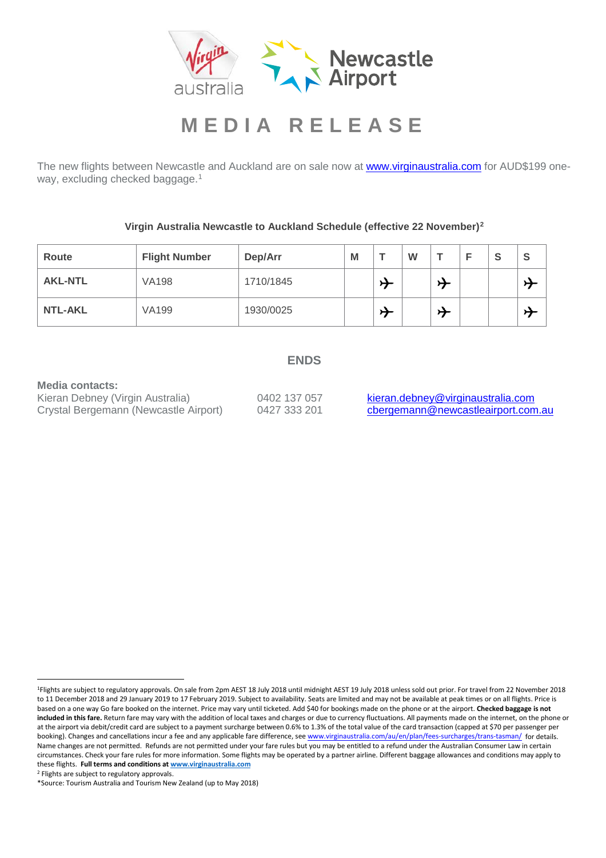

The new flights between Newcastle and Auckland are on sale now at **www.virginaustralia.com** for AUD\$199 one-way, excluding checked baggage.<sup>[1](#page-1-0)</sup>

**Virgin Australia Newcastle to Auckland Schedule (effective 22 November)[2](#page-1-1)**

| Route          | <b>Flight Number</b> | Dep/Arr   | M | W |  | S | <b>S</b> |
|----------------|----------------------|-----------|---|---|--|---|----------|
| <b>AKL-NTL</b> | <b>VA198</b>         | 1710/1845 |   |   |  |   |          |
| <b>NTL-AKL</b> | <b>VA199</b>         | 1930/0025 |   |   |  |   | J        |

### **ENDS**

**Media contacts:**<br>Kieran Debney (Virgin Australia) Crystal Bergemann (Newcastle Airport)

0402 137 057 [kieran.debney@virginaustralia.com](mailto:kieran.debney@virginaustralia.com)<br>0427 333 201 cbergemann@newcastleairport.com.au

<span id="page-1-0"></span> <sup>1</sup>Flights are subject to regulatory approvals. On sale from 2pm AEST 18 July 2018 until midnight AEST 19 July 2018 unless sold out prior. For travel from 22 November 2018 to 11 December 2018 and 29 January 2019 to 17 February 2019. Subject to availability. Seats are limited and may not be available at peak times or on all flights. Price is based on a one way Go fare booked on the internet. Price may vary until ticketed. Add \$40 for bookings made on the phone or at the airport. **Checked baggage is not included in this fare.** Return fare may vary with the addition of local taxes and charges or due to currency fluctuations. All payments made on the internet, on the phone or at the airport via debit/credit card are subject to a payment surcharge between 0.6% to 1.3% of the total value of the card transaction (capped at \$70 per passenger per booking). Changes and cancellations incur a fee and any applicable fare difference, se[e www.virginaustralia.com/au/en/plan/fees-surcharges/trans-tasman/](http://www.virginaustralia.com/au/en/plan/fees-surcharges/trans-tasman/) for details. Name changes are not permitted. Refunds are not permitted under your fare rules but you may be entitled to a refund under the Australian Consumer Law in certain circumstances. Check your fare rules for more information. Some flights may be operated by a partner airline. Different baggage allowances and conditions may apply to these flights. **Full terms and conditions at www.virginaustralia.com**

<span id="page-1-1"></span><sup>2</sup> Flights are subject to regulatory approvals.

<sup>\*</sup>Source: Tourism Australia and Tourism New Zealand (up to May 2018)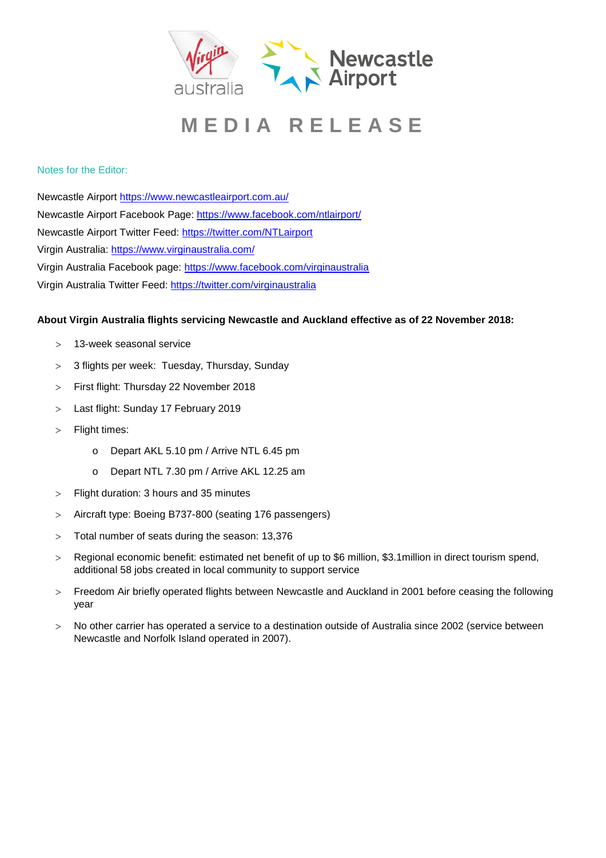

### Notes for the Editor:

Newcastle Airport<https://www.newcastleairport.com.au/> Newcastle Airport Facebook Page: <https://www.facebook.com/ntlairport/> Newcastle Airport Twitter Feed:<https://twitter.com/NTLairport> Virgin Australia:<https://www.virginaustralia.com/> Virgin Australia Facebook page:<https://www.facebook.com/virginaustralia> Virgin Australia Twitter Feed:<https://twitter.com/virginaustralia>

### **About Virgin Australia flights servicing Newcastle and Auckland effective as of 22 November 2018:**

- > 13-week seasonal service
- > 3 flights per week: Tuesday, Thursday, Sunday
- > First flight: Thursday 22 November 2018
- > Last flight: Sunday 17 February 2019
- > Flight times:
	- o Depart AKL 5.10 pm / Arrive NTL 6.45 pm
	- o Depart NTL 7.30 pm / Arrive AKL 12.25 am
- > Flight duration: 3 hours and 35 minutes
- > Aircraft type: Boeing B737-800 (seating 176 passengers)
- > Total number of seats during the season: 13,376
- > Regional economic benefit: estimated net benefit of up to \$6 million, \$3.1million in direct tourism spend, additional 58 jobs created in local community to support service
- > Freedom Air briefly operated flights between Newcastle and Auckland in 2001 before ceasing the following year
- > No other carrier has operated a service to a destination outside of Australia since 2002 (service between Newcastle and Norfolk Island operated in 2007).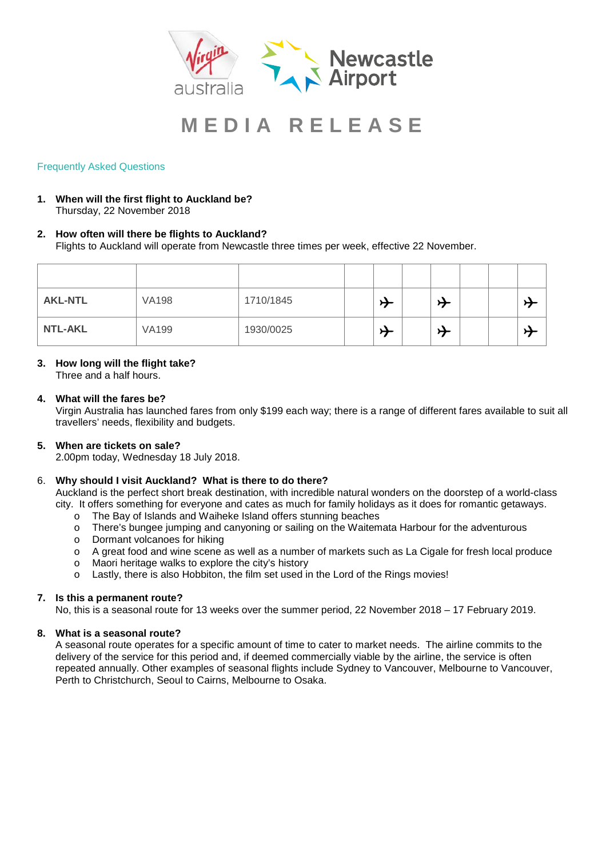

### Frequently Asked Questions

**1. When will the first flight to Auckland be?** Thursday, 22 November 2018

### **2. How often will there be flights to Auckland?** Flights to Auckland will operate from Newcastle three times per week, effective 22 November.

| <b>AKL-NTL</b> | <b>VA198</b> | 1710/1845 | $\overline{\phantom{0}}$ |  |  |  |
|----------------|--------------|-----------|--------------------------|--|--|--|
| <b>NTL-AKL</b> | <b>VA199</b> | 1930/0025 | $\overline{\phantom{0}}$ |  |  |  |

### **3. How long will the flight take?**

Three and a half hours.

### **4. What will the fares be?**

Virgin Australia has launched fares from only \$199 each way; there is a range of different fares available to suit all travellers' needs, flexibility and budgets.

### **5. When are tickets on sale?**

2.00pm today, Wednesday 18 July 2018.

### 6. **Why should I visit Auckland? What is there to do there?**

Auckland is the perfect short break destination, with incredible natural wonders on the doorstep of a world-class city. It offers something for everyone and cates as much for family holidays as it does for romantic getaways.

- o The Bay of Islands and Waiheke Island offers stunning beaches
- o There's bungee jumping and canyoning or sailing on the Waitemata Harbour for the adventurous
- o Dormant volcanoes for hiking
- o A great food and wine scene as well as a number of markets such as La Cigale for fresh local produce<br>
o Maori heritage walks to explore the city's history
- Maori heritage walks to explore the city's history
- o Lastly, there is also Hobbiton, the film set used in the Lord of the Rings movies!

#### **7. Is this a permanent route?**

No, this is a seasonal route for 13 weeks over the summer period, 22 November 2018 – 17 February 2019.

#### **8. What is a seasonal route?**

A seasonal route operates for a specific amount of time to cater to market needs. The airline commits to the delivery of the service for this period and, if deemed commercially viable by the airline, the service is often repeated annually. Other examples of seasonal flights include Sydney to Vancouver, Melbourne to Vancouver, Perth to Christchurch, Seoul to Cairns, Melbourne to Osaka.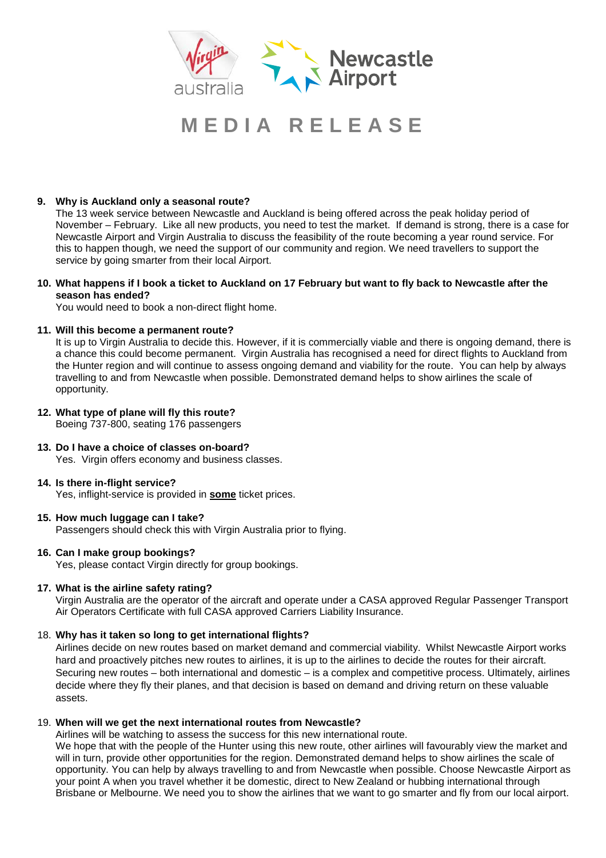

### **9. Why is Auckland only a seasonal route?**

The 13 week service between Newcastle and Auckland is being offered across the peak holiday period of November – February. Like all new products, you need to test the market. If demand is strong, there is a case for Newcastle Airport and Virgin Australia to discuss the feasibility of the route becoming a year round service. For this to happen though, we need the support of our community and region. We need travellers to support the service by going smarter from their local Airport.

### **10. What happens if I book a ticket to Auckland on 17 February but want to fly back to Newcastle after the season has ended?**

You would need to book a non-direct flight home.

### **11. Will this become a permanent route?**

It is up to Virgin Australia to decide this. However, if it is commercially viable and there is ongoing demand, there is a chance this could become permanent. Virgin Australia has recognised a need for direct flights to Auckland from the Hunter region and will continue to assess ongoing demand and viability for the route. You can help by always travelling to and from Newcastle when possible. Demonstrated demand helps to show airlines the scale of opportunity.

#### **12. What type of plane will fly this route?** Boeing 737-800, seating 176 passengers

### **13. Do I have a choice of classes on-board?** Yes. Virgin offers economy and business classes.

#### **14. Is there in-flight service?** Yes, inflight-service is provided in **some** ticket prices.

### **15. How much luggage can I take?**

Passengers should check this with Virgin Australia prior to flying.

### **16. Can I make group bookings?**

Yes, please contact Virgin directly for group bookings.

### **17. What is the airline safety rating?**

Virgin Australia are the operator of the aircraft and operate under a CASA approved Regular Passenger Transport Air Operators Certificate with full CASA approved Carriers Liability Insurance.

### 18. **Why has it taken so long to get international flights?**

Airlines decide on new routes based on market demand and commercial viability. Whilst Newcastle Airport works hard and proactively pitches new routes to airlines, it is up to the airlines to decide the routes for their aircraft. Securing new routes – both international and domestic – is a complex and competitive process. Ultimately, airlines decide where they fly their planes, and that decision is based on demand and driving return on these valuable assets.

#### 19. **When will we get the next international routes from Newcastle?**

Airlines will be watching to assess the success for this new international route.

We hope that with the people of the Hunter using this new route, other airlines will favourably view the market and will in turn, provide other opportunities for the region. Demonstrated demand helps to show airlines the scale of opportunity. You can help by always travelling to and from Newcastle when possible. Choose Newcastle Airport as your point A when you travel whether it be domestic, direct to New Zealand or hubbing international through Brisbane or Melbourne. We need you to show the airlines that we want to go smarter and fly from our local airport.